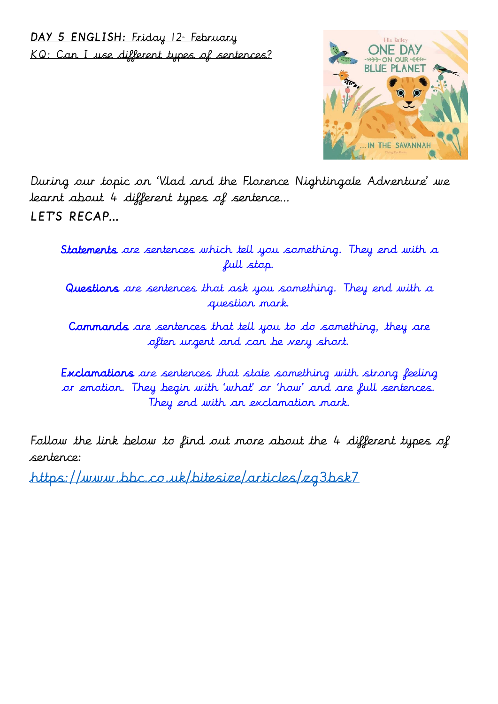## DAY 5 ENGLISH: Friday 12 February KQ: Can I use different types of sentences?



During our topic on 'Vlad and the Florence Nightingale Adventure' we learnt about 4 different types of sentence… LETS RECAP...

Statements are sentences which tell you something. They end with a full stop.

Questions are sentences that ask you something. They end with a question mark.

Commands are sentences that tell you to do something, they are often urgent and can be very short.

Exclamations are sentences that state something with strong feeling or emotion. They begin with 'what' or 'how' and are full sentences. They end with an exclamation mark.

Follow the link below to find out more about the 4 different types of sentence:

<https://www.bbc.co.uk/bitesize/articles/zg3bsk7>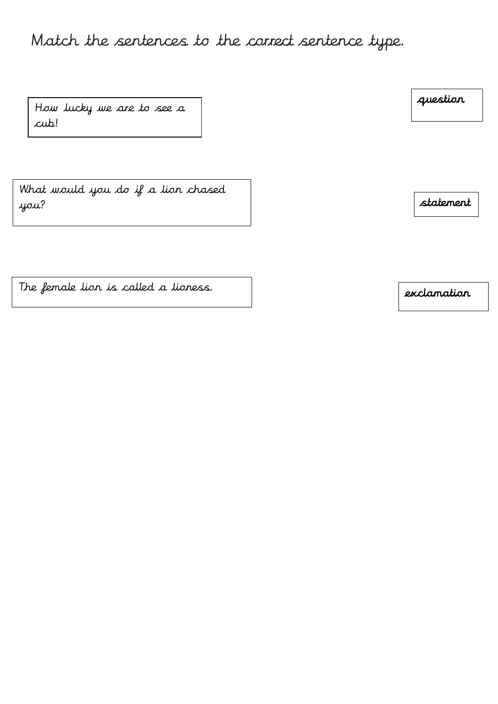## Match the sentences to the correct sentence type.

How lucky we are to see a cub!

What would you do if a lion chased you?

statement

The female lion is called a lioness.

question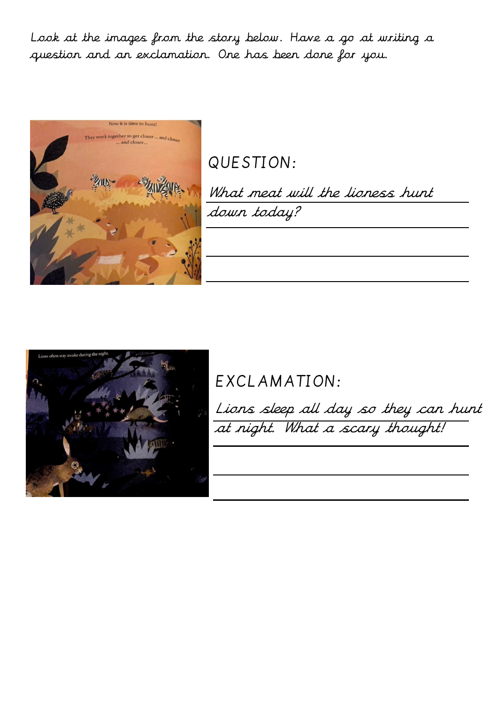Look at the images from the story below. Have a go at writing a question and an exclamation. One has been done for you.



QUESTION:

What meat will the lioness hunt down today?



EXCLAMATION:

Lions sleep all day so they can hunt at night. What a scary thought!